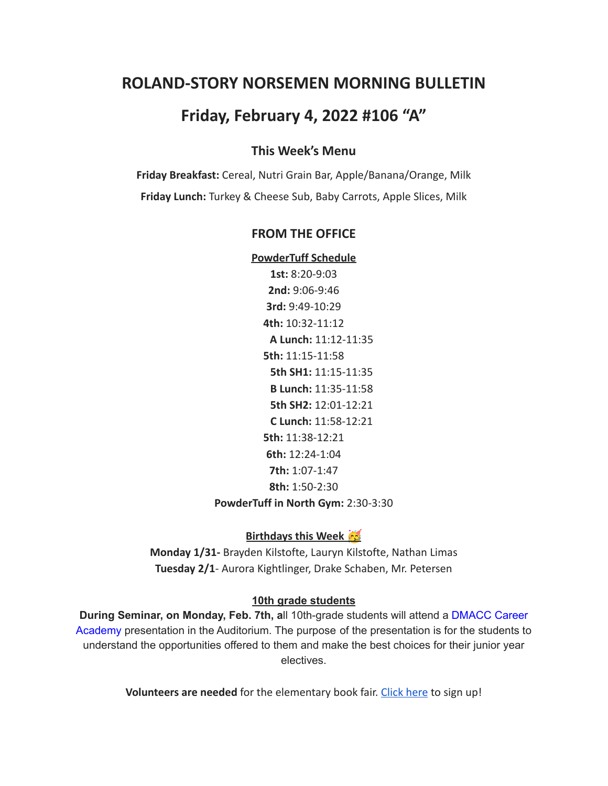## **ROLAND-STORY NORSEMEN MORNING BULLETIN**

# **Friday, February 4, 2022 #106 "A"**

## **This Week's Menu**

**Friday Breakfast:** Cereal, Nutri Grain Bar, Apple/Banana/Orange, Milk **Friday Lunch:** Turkey & Cheese Sub, Baby Carrots, Apple Slices, Milk

#### **FROM THE OFFICE**

#### **PowderTuff Schedule**

**1st:** 8:20-9:03 **2nd:** 9:06-9:46 **3rd:** 9:49-10:29 **4th:** 10:32-11:12 **A Lunch:** 11:12-11:35 **5th:** 11:15-11:58 **5th SH1:** 11:15-11:35 **B Lunch:** 11:35-11:58 **5th SH2:** 12:01-12:21 **C Lunch:** 11:58-12:21 **5th:** 11:38-12:21 **6th:** 12:24-1:04 **7th:** 1:07-1:47 **8th:** 1:50-2:30

**PowderTuff in North Gym:** 2:30-3:30

#### **Birthdays this Week**

**Monday 1/31-** Brayden Kilstofte, Lauryn Kilstofte, Nathan Limas **Tuesday 2/1**- Aurora Kightlinger, Drake Schaben, Mr. Petersen

#### **10th grade students**

**During Seminar, on Monday, Feb. 7th, a**ll 10th-grade students will attend a DMACC Career Academy presentation in the Auditorium. The purpose of the presentation is for the students to understand the opportunities offered to them and make the best choices for their junior year electives.

**Volunteers are needed** for the elementary book fair. [Click here](https://www.signupgenius.com/go/20f0b4ba9a92ca5f58-rolandstory1) to sign up!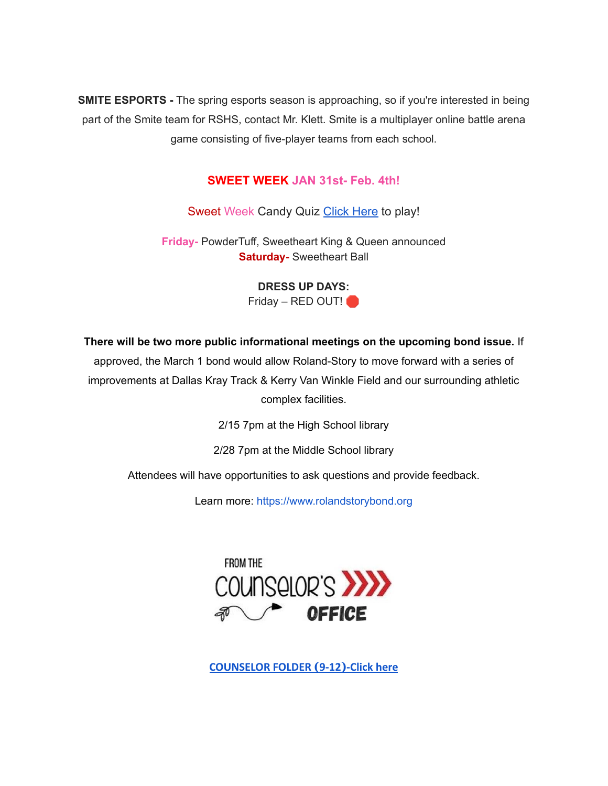**SMITE ESPORTS -** The spring esports season is approaching, so if you're interested in being part of the Smite team for RSHS, contact Mr. Klett. Smite is a multiplayer online battle arena game consisting of five-player teams from each school.

## **SWEET WEEK JAN 31st- Feb. 4th!**

Sweet Week Candy Quiz [Click Here](https://forms.gle/uMcuL3Pu4M7jeREZ9) to play!

**Friday-** PowderTuff, Sweetheart King & Queen announced **Saturday-** Sweetheart Ball

> **DRESS UP DAYS:** Friday – RED OUT!

**There will be two more public informational meetings on the upcoming bond issue.** If

approved, the March 1 bond would allow Roland-Story to move forward with a series of improvements at Dallas Kray Track & Kerry Van Winkle Field and our surrounding athletic complex facilities.

2/15 7pm at the High School library

2/28 7pm at the Middle School library

Attendees will have opportunities to ask questions and provide feedback.

Learn more: [https://www.rolandstorybond.org](https://www.rolandstorybond.org/?fbclid=IwAR3AJHhy8S8KvQsof-Z44UTrIBXDkOZFSdMyUXMovrg0bH3FkvkTprNkFuM)



**[COUNSELOR FOLDER](https://docs.google.com/document/d/1vmwczNPbDzXe9vFaG5LJMQ7NYDv-i4oQJHybqA65TUc/edit?usp=sharing) (9-12)-Click here**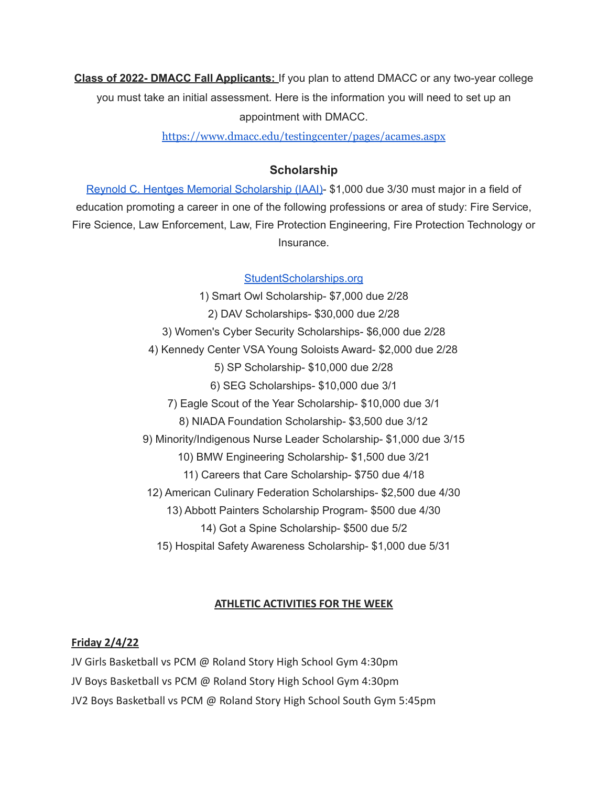**Class of 2022- DMACC Fall Applicants:** If you plan to attend DMACC or any two-year college you must take an initial assessment. Here is the information you will need to set up an appointment with DMACC.

<https://www.dmacc.edu/testingcenter/pages/acames.aspx>

## **Scholarship**

Reynold C. Hentges Memorial [Scholarship](https://drive.google.com/file/d/1hjWI_srze5__tTjHVbJ5z3zd1-S63qlS/view?usp=sharing) (IAAI)- \$1,000 due 3/30 must major in a field of education promoting a career in one of the following professions or area of study: Fire Service, Fire Science, Law Enforcement, Law, Fire Protection Engineering, Fire Protection Technology or Insurance.

[StudentScholarships.org](https://drive.google.com/file/d/1hV3dZAuh9FIeLf132rgQi86QgS7AQzZD/view?usp=sharing)

1) Smart Owl Scholarship- \$7,000 due 2/28 2) DAV Scholarships- \$30,000 due 2/28 3) Women's Cyber Security Scholarships- \$6,000 due 2/28 4) Kennedy Center VSA Young Soloists Award- \$2,000 due 2/28 5) SP Scholarship- \$10,000 due 2/28 6) SEG Scholarships- \$10,000 due 3/1 7) Eagle Scout of the Year Scholarship- \$10,000 due 3/1 8) NIADA Foundation Scholarship- \$3,500 due 3/12 9) Minority/Indigenous Nurse Leader Scholarship- \$1,000 due 3/15 10) BMW Engineering Scholarship- \$1,500 due 3/21 11) Careers that Care Scholarship- \$750 due 4/18 12) American Culinary Federation Scholarships- \$2,500 due 4/30 13) Abbott Painters Scholarship Program- \$500 due 4/30 14) Got a Spine Scholarship- \$500 due 5/2 15) Hospital Safety Awareness Scholarship- \$1,000 due 5/31

### **ATHLETIC ACTIVITIES FOR THE WEEK**

### **Friday 2/4/22**

JV Girls Basketball vs PCM @ Roland Story High School Gym 4:30pm

JV Boys Basketball vs PCM @ Roland Story High School Gym 4:30pm

JV2 Boys Basketball vs PCM @ Roland Story High School South Gym 5:45pm